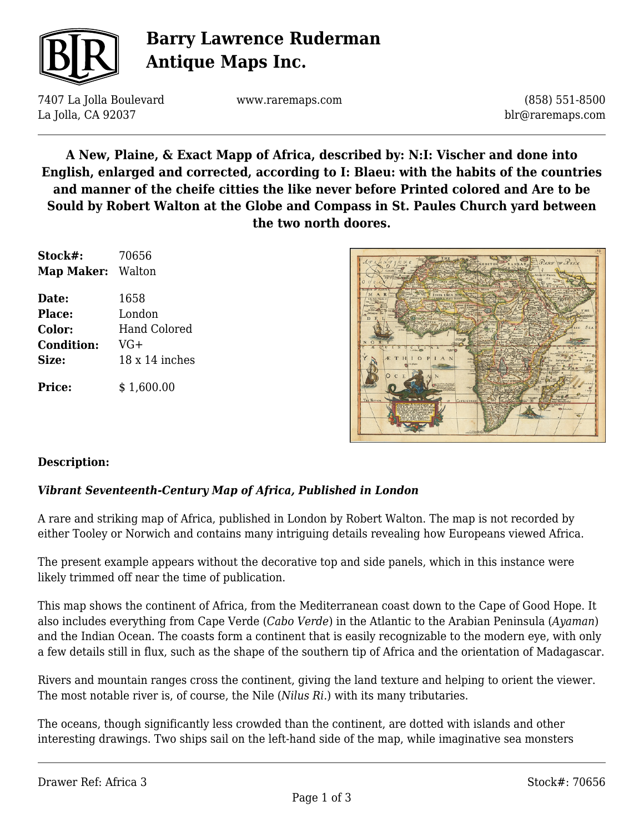

# **Barry Lawrence Ruderman Antique Maps Inc.**

7407 La Jolla Boulevard La Jolla, CA 92037

www.raremaps.com

(858) 551-8500 blr@raremaps.com

**A New, Plaine, & Exact Mapp of Africa, described by: N:I: Vischer and done into English, enlarged and corrected, according to I: Blaeu: with the habits of the countries and manner of the cheife citties the like never before Printed colored and Are to be Sould by Robert Walton at the Globe and Compass in St. Paules Church yard between the two north doores.**

| Stock#:<br><b>Map Maker:</b> Walton | 70656          |
|-------------------------------------|----------------|
|                                     |                |
| Place:                              | London         |
| Color:                              | Hand Colored   |
| <b>Condition:</b>                   | $VG+$          |
| Size:                               | 18 x 14 inches |
| <b>Price:</b>                       | \$1,600.00     |



### **Description:**

### *Vibrant Seventeenth-Century Map of Africa, Published in London*

A rare and striking map of Africa, published in London by Robert Walton. The map is not recorded by either Tooley or Norwich and contains many intriguing details revealing how Europeans viewed Africa.

The present example appears without the decorative top and side panels, which in this instance were likely trimmed off near the time of publication.

This map shows the continent of Africa, from the Mediterranean coast down to the Cape of Good Hope. It also includes everything from Cape Verde (*Cabo Verde*) in the Atlantic to the Arabian Peninsula (*Ayaman*) and the Indian Ocean. The coasts form a continent that is easily recognizable to the modern eye, with only a few details still in flux, such as the shape of the southern tip of Africa and the orientation of Madagascar.

Rivers and mountain ranges cross the continent, giving the land texture and helping to orient the viewer. The most notable river is, of course, the Nile (*Nilus Ri.*) with its many tributaries.

The oceans, though significantly less crowded than the continent, are dotted with islands and other interesting drawings. Two ships sail on the left-hand side of the map, while imaginative sea monsters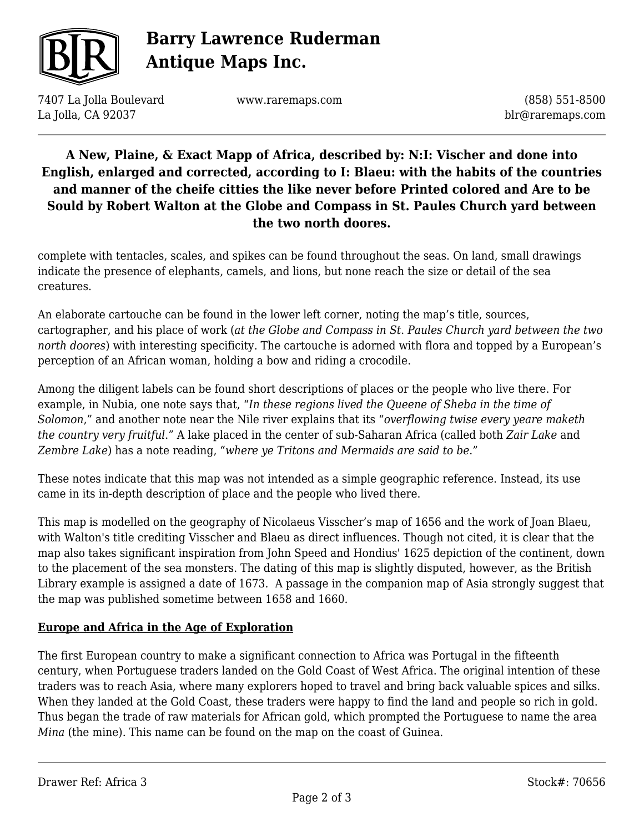

# **Barry Lawrence Ruderman Antique Maps Inc.**

7407 La Jolla Boulevard La Jolla, CA 92037

www.raremaps.com

(858) 551-8500 blr@raremaps.com

## **A New, Plaine, & Exact Mapp of Africa, described by: N:I: Vischer and done into English, enlarged and corrected, according to I: Blaeu: with the habits of the countries and manner of the cheife citties the like never before Printed colored and Are to be Sould by Robert Walton at the Globe and Compass in St. Paules Church yard between the two north doores.**

complete with tentacles, scales, and spikes can be found throughout the seas. On land, small drawings indicate the presence of elephants, camels, and lions, but none reach the size or detail of the sea creatures.

An elaborate cartouche can be found in the lower left corner, noting the map's title, sources, cartographer, and his place of work (*at the Globe and Compass in St. Paules Church yard between the two north doores*) with interesting specificity. The cartouche is adorned with flora and topped by a European's perception of an African woman, holding a bow and riding a crocodile.

Among the diligent labels can be found short descriptions of places or the people who live there. For example, in Nubia, one note says that, "*In these regions lived the Queene of Sheba in the time of Solomon*," and another note near the Nile river explains that its "*overflowing twise every yeare maketh the country very fruitful*." A lake placed in the center of sub-Saharan Africa (called both *Zair Lake* and *Zembre Lake*) has a note reading, "*where ye Tritons and Mermaids are said to be*."

These notes indicate that this map was not intended as a simple geographic reference. Instead, its use came in its in-depth description of place and the people who lived there.

This map is modelled on the geography of Nicolaeus Visscher's map of 1656 and the work of Joan Blaeu, with Walton's title crediting Visscher and Blaeu as direct influences. Though not cited, it is clear that the map also takes significant inspiration from John Speed and Hondius' 1625 depiction of the continent, down to the placement of the sea monsters. The dating of this map is slightly disputed, however, as the British Library example is assigned a date of 1673. A passage in the companion map of Asia strongly suggest that the map was published sometime between 1658 and 1660.

### **Europe and Africa in the Age of Exploration**

The first European country to make a significant connection to Africa was Portugal in the fifteenth century, when Portuguese traders landed on the Gold Coast of West Africa. The original intention of these traders was to reach Asia, where many explorers hoped to travel and bring back valuable spices and silks. When they landed at the Gold Coast, these traders were happy to find the land and people so rich in gold. Thus began the trade of raw materials for African gold, which prompted the Portuguese to name the area *Mina* (the mine). This name can be found on the map on the coast of Guinea.